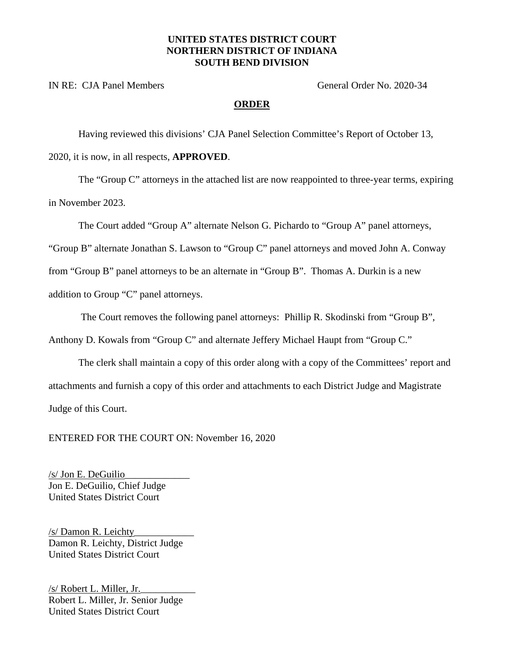## **UNITED STATES DISTRICT COURT NORTHERN DISTRICT OF INDIANA SOUTH BEND DIVISION**

IN RE: CJA Panel Members General Order No. 2020-34

## **ORDER**

Having reviewed this divisions' CJA Panel Selection Committee's Report of October 13, 2020, it is now, in all respects, **APPROVED**.

The "Group C" attorneys in the attached list are now reappointed to three-year terms, expiring in November 2023.

The Court added "Group A" alternate Nelson G. Pichardo to "Group A" panel attorneys,

"Group B" alternate Jonathan S. Lawson to "Group C" panel attorneys and moved John A. Conway

from "Group B" panel attorneys to be an alternate in "Group B". Thomas A. Durkin is a new

addition to Group "C" panel attorneys.

The Court removes the following panel attorneys: Phillip R. Skodinski from "Group B",

Anthony D. Kowals from "Group C" and alternate Jeffery Michael Haupt from "Group C."

The clerk shall maintain a copy of this order along with a copy of the Committees' report and attachments and furnish a copy of this order and attachments to each District Judge and Magistrate Judge of this Court.

ENTERED FOR THE COURT ON: November 16, 2020

/s/ Jon E. DeGuilio\_\_\_\_\_\_\_\_\_\_\_\_\_ Jon E. DeGuilio, Chief Judge United States District Court

/s/ Damon R. Leichty\_\_\_\_\_\_\_\_\_\_\_\_ Damon R. Leichty, District Judge United States District Court

/s/ Robert L. Miller, Jr.\_\_\_\_\_\_\_\_\_\_\_ Robert L. Miller, Jr. Senior Judge United States District Court